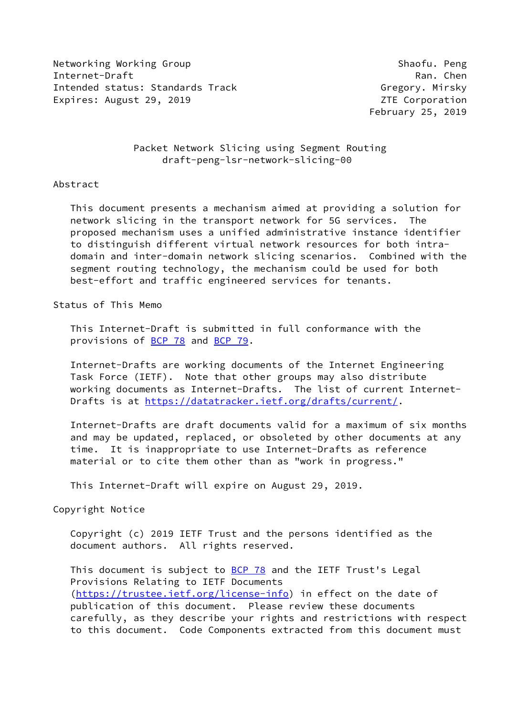Networking Working Group Shaofu. Peng Internet-Draft Ran. Chen Intended status: Standards Track Gregory. Mirsky Expires: August 29, 2019 **ZTE** Corporation

February 25, 2019

# Packet Network Slicing using Segment Routing draft-peng-lsr-network-slicing-00

## Abstract

 This document presents a mechanism aimed at providing a solution for network slicing in the transport network for 5G services. The proposed mechanism uses a unified administrative instance identifier to distinguish different virtual network resources for both intra domain and inter-domain network slicing scenarios. Combined with the segment routing technology, the mechanism could be used for both best-effort and traffic engineered services for tenants.

## Status of This Memo

 This Internet-Draft is submitted in full conformance with the provisions of **BCP 78** and **BCP 79**.

 Internet-Drafts are working documents of the Internet Engineering Task Force (IETF). Note that other groups may also distribute working documents as Internet-Drafts. The list of current Internet Drafts is at<https://datatracker.ietf.org/drafts/current/>.

 Internet-Drafts are draft documents valid for a maximum of six months and may be updated, replaced, or obsoleted by other documents at any time. It is inappropriate to use Internet-Drafts as reference material or to cite them other than as "work in progress."

This Internet-Draft will expire on August 29, 2019.

## Copyright Notice

 Copyright (c) 2019 IETF Trust and the persons identified as the document authors. All rights reserved.

This document is subject to **[BCP 78](https://datatracker.ietf.org/doc/pdf/bcp78)** and the IETF Trust's Legal Provisions Relating to IETF Documents [\(https://trustee.ietf.org/license-info](https://trustee.ietf.org/license-info)) in effect on the date of publication of this document. Please review these documents carefully, as they describe your rights and restrictions with respect to this document. Code Components extracted from this document must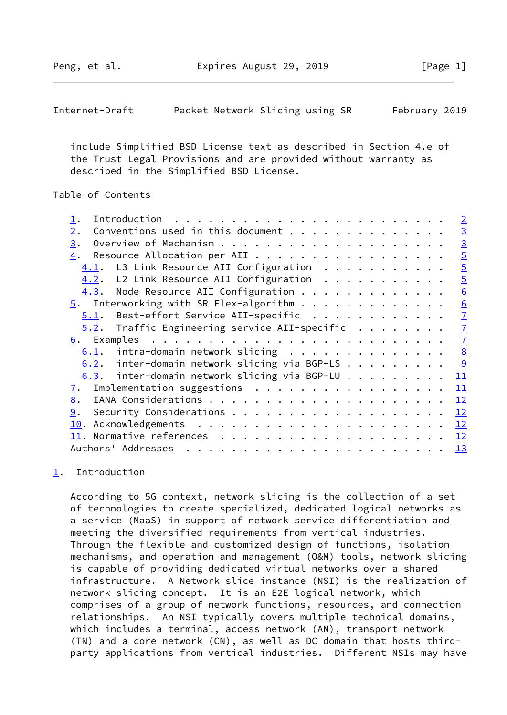Peng, et al. Expires August 29, 2019 [Page 1]

<span id="page-1-1"></span>

| Internet-Draft |  | Packet Network Slicing using SR |  |  |  | February 2019 |  |
|----------------|--|---------------------------------|--|--|--|---------------|--|
|----------------|--|---------------------------------|--|--|--|---------------|--|

 include Simplified BSD License text as described in Section 4.e of the Trust Legal Provisions and are provided without warranty as described in the Simplified BSD License.

# Table of Contents

|                                                       | $\overline{2}$  |
|-------------------------------------------------------|-----------------|
| $\overline{2}$ .                                      | $\overline{3}$  |
| 3.                                                    | $\overline{3}$  |
| 4.                                                    | $\overline{5}$  |
| L3 Link Resource AII Configuration<br>4.1.            | $\overline{5}$  |
| 4.2. L2 Link Resource AII Configuration               | $\overline{5}$  |
| 4.3. Node Resource AII Configuration                  | $\underline{6}$ |
| $5.$ Interworking with SR Flex-algorithm              | $\underline{6}$ |
| $5.1$ . Best-effort Service AII-specific              | $\overline{1}$  |
| $5.2$ . Traffic Engineering service AII-specific      | $\overline{1}$  |
|                                                       | $\overline{1}$  |
| $\frac{8}{2}$<br>$6.1$ . intra-domain network slicing |                 |
| $6.2$ . inter-domain network slicing via BGP-LS       |                 |
| $6.3$ . inter-domain network slicing via BGP-LU<br>11 |                 |
| $\underline{7}$ . Implementation suggestions<br>11    |                 |
| 12<br>8.                                              |                 |
| 9.<br>12                                              |                 |
| 12                                                    |                 |
| 12                                                    |                 |
| 13                                                    |                 |

# <span id="page-1-0"></span>[1](#page-1-0). Introduction

 According to 5G context, network slicing is the collection of a set of technologies to create specialized, dedicated logical networks as a service (NaaS) in support of network service differentiation and meeting the diversified requirements from vertical industries. Through the flexible and customized design of functions, isolation mechanisms, and operation and management (O&M) tools, network slicing is capable of providing dedicated virtual networks over a shared infrastructure. A Network slice instance (NSI) is the realization of network slicing concept. It is an E2E logical network, which comprises of a group of network functions, resources, and connection relationships. An NSI typically covers multiple technical domains, which includes a terminal, access network (AN), transport network (TN) and a core network (CN), as well as DC domain that hosts third party applications from vertical industries. Different NSIs may have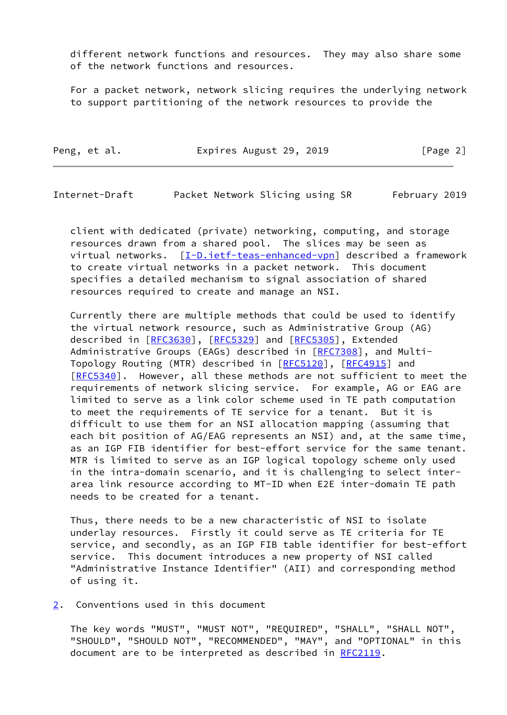different network functions and resources. They may also share some of the network functions and resources.

 For a packet network, network slicing requires the underlying network to support partitioning of the network resources to provide the

|  | Peng, et al. |  | Expires August 29, 2019 |  | [Page 2] |
|--|--------------|--|-------------------------|--|----------|
|--|--------------|--|-------------------------|--|----------|

<span id="page-2-1"></span>Internet-Draft Packet Network Slicing using SR February 2019

 client with dedicated (private) networking, computing, and storage resources drawn from a shared pool. The slices may be seen as virtual networks. [[I-D.ietf-teas-enhanced-vpn\]](#page-13-1) described a framework to create virtual networks in a packet network. This document specifies a detailed mechanism to signal association of shared resources required to create and manage an NSI.

 Currently there are multiple methods that could be used to identify the virtual network resource, such as Administrative Group (AG) described in [\[RFC3630](https://datatracker.ietf.org/doc/pdf/rfc3630)], [\[RFC5329](https://datatracker.ietf.org/doc/pdf/rfc5329)] and [[RFC5305](https://datatracker.ietf.org/doc/pdf/rfc5305)], Extended Administrative Groups (EAGs) described in [[RFC7308](https://datatracker.ietf.org/doc/pdf/rfc7308)], and Multi- Topology Routing (MTR) described in [\[RFC5120](https://datatracker.ietf.org/doc/pdf/rfc5120)], [\[RFC4915](https://datatracker.ietf.org/doc/pdf/rfc4915)] and [\[RFC5340](https://datatracker.ietf.org/doc/pdf/rfc5340)]. However, all these methods are not sufficient to meet the requirements of network slicing service. For example, AG or EAG are limited to serve as a link color scheme used in TE path computation to meet the requirements of TE service for a tenant. But it is difficult to use them for an NSI allocation mapping (assuming that each bit position of AG/EAG represents an NSI) and, at the same time, as an IGP FIB identifier for best-effort service for the same tenant. MTR is limited to serve as an IGP logical topology scheme only used in the intra-domain scenario, and it is challenging to select inter area link resource according to MT-ID when E2E inter-domain TE path needs to be created for a tenant.

 Thus, there needs to be a new characteristic of NSI to isolate underlay resources. Firstly it could serve as TE criteria for TE service, and secondly, as an IGP FIB table identifier for best-effort service. This document introduces a new property of NSI called "Administrative Instance Identifier" (AII) and corresponding method of using it.

<span id="page-2-0"></span>[2](#page-2-0). Conventions used in this document

 The key words "MUST", "MUST NOT", "REQUIRED", "SHALL", "SHALL NOT", "SHOULD", "SHOULD NOT", "RECOMMENDED", "MAY", and "OPTIONAL" in this document are to be interpreted as described in [RFC2119](https://datatracker.ietf.org/doc/pdf/rfc2119).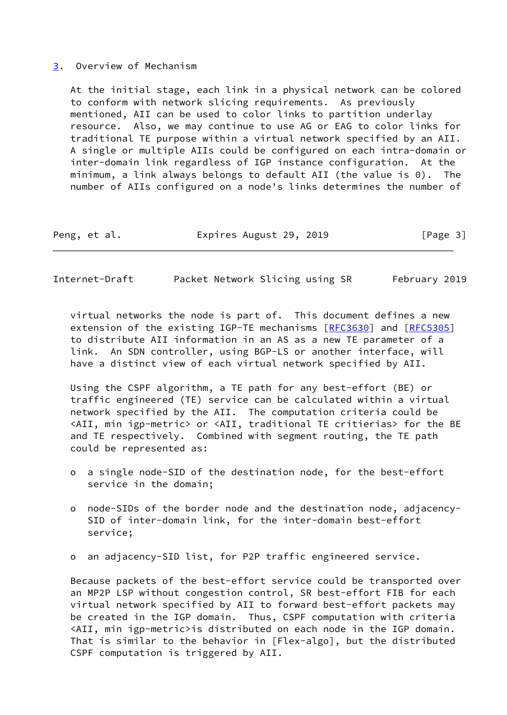### <span id="page-3-0"></span>[3](#page-3-0). Overview of Mechanism

 At the initial stage, each link in a physical network can be colored to conform with network slicing requirements. As previously mentioned, AII can be used to color links to partition underlay resource. Also, we may continue to use AG or EAG to color links for traditional TE purpose within a virtual network specified by an AII. A single or multiple AIIs could be configured on each intra-domain or inter-domain link regardless of IGP instance configuration. At the minimum, a link always belongs to default AII (the value is 0). The number of AIIs configured on a node's links determines the number of

| Peng, et al. |  | Expires August 29, 2019 |  | [Page 3] |
|--------------|--|-------------------------|--|----------|
|--------------|--|-------------------------|--|----------|

|  | Internet-Draft |  | Packet Network Slicing using SR | February 2019 |
|--|----------------|--|---------------------------------|---------------|
|--|----------------|--|---------------------------------|---------------|

 virtual networks the node is part of. This document defines a new extension of the existing IGP-TE mechanisms [\[RFC3630](https://datatracker.ietf.org/doc/pdf/rfc3630)] and [[RFC5305](https://datatracker.ietf.org/doc/pdf/rfc5305)] to distribute AII information in an AS as a new TE parameter of a link. An SDN controller, using BGP-LS or another interface, will have a distinct view of each virtual network specified by AII.

 Using the CSPF algorithm, a TE path for any best-effort (BE) or traffic engineered (TE) service can be calculated within a virtual network specified by the AII. The computation criteria could be <AII, min igp-metric> or <AII, traditional TE critierias> for the BE and TE respectively. Combined with segment routing, the TE path could be represented as:

- o a single node-SID of the destination node, for the best-effort service in the domain;
- o node-SIDs of the border node and the destination node, adjacency- SID of inter-domain link, for the inter-domain best-effort service;
- o an adjacency-SID list, for P2P traffic engineered service.

 Because packets of the best-effort service could be transported over an MP2P LSP without congestion control, SR best-effort FIB for each virtual network specified by AII to forward best-effort packets may be created in the IGP domain. Thus, CSPF computation with criteria <AII, min igp-metric>is distributed on each node in the IGP domain. That is similar to the behavior in [Flex-algo], but the distributed CSPF computation is triggered by AII.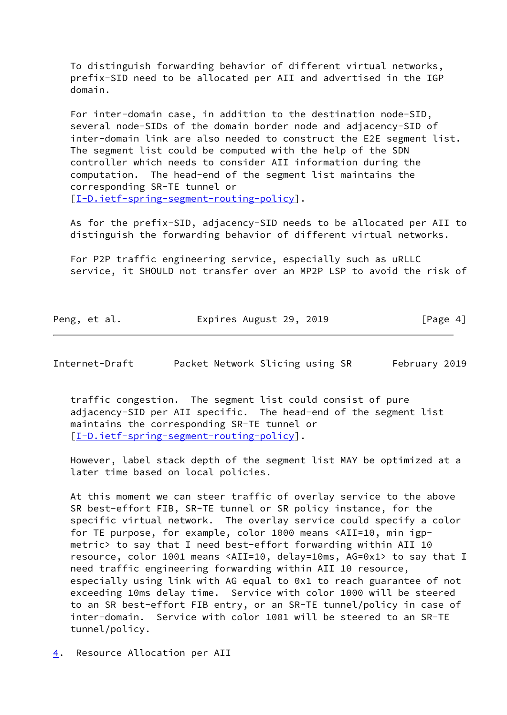To distinguish forwarding behavior of different virtual networks, prefix-SID need to be allocated per AII and advertised in the IGP domain.

 For inter-domain case, in addition to the destination node-SID, several node-SIDs of the domain border node and adjacency-SID of inter-domain link are also needed to construct the E2E segment list. The segment list could be computed with the help of the SDN controller which needs to consider AII information during the computation. The head-end of the segment list maintains the corresponding SR-TE tunnel or [\[I-D.ietf-spring-segment-routing-policy](#page-13-2)].

 As for the prefix-SID, adjacency-SID needs to be allocated per AII to distinguish the forwarding behavior of different virtual networks.

 For P2P traffic engineering service, especially such as uRLLC service, it SHOULD not transfer over an MP2P LSP to avoid the risk of

| Peng, et al. | Expires August 29, 2019 | [Page 4] |
|--------------|-------------------------|----------|
|              |                         |          |

<span id="page-4-1"></span>Internet-Draft Packet Network Slicing using SR February 2019

 traffic congestion. The segment list could consist of pure adjacency-SID per AII specific. The head-end of the segment list maintains the corresponding SR-TE tunnel or [\[I-D.ietf-spring-segment-routing-policy](#page-13-2)].

 However, label stack depth of the segment list MAY be optimized at a later time based on local policies.

 At this moment we can steer traffic of overlay service to the above SR best-effort FIB, SR-TE tunnel or SR policy instance, for the specific virtual network. The overlay service could specify a color for TE purpose, for example, color 1000 means <AII=10, min igp metric> to say that I need best-effort forwarding within AII 10 resource, color 1001 means <AII=10, delay=10ms, AG=0x1> to say that I need traffic engineering forwarding within AII 10 resource, especially using link with AG equal to 0x1 to reach guarantee of not exceeding 10ms delay time. Service with color 1000 will be steered to an SR best-effort FIB entry, or an SR-TE tunnel/policy in case of inter-domain. Service with color 1001 will be steered to an SR-TE tunnel/policy.

<span id="page-4-0"></span>[4](#page-4-0). Resource Allocation per AII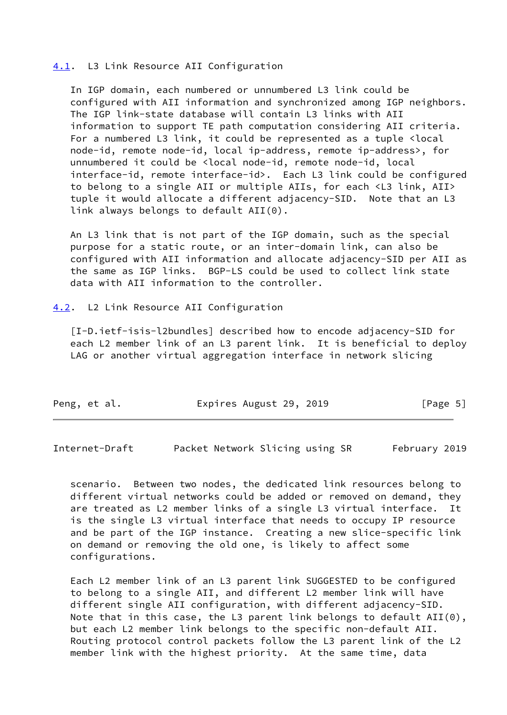#### <span id="page-5-0"></span>[4.1](#page-5-0). L3 Link Resource AII Configuration

 In IGP domain, each numbered or unnumbered L3 link could be configured with AII information and synchronized among IGP neighbors. The IGP link-state database will contain L3 links with AII information to support TE path computation considering AII criteria. For a numbered L3 link, it could be represented as a tuple <local node-id, remote node-id, local ip-address, remote ip-address>, for unnumbered it could be <local node-id, remote node-id, local interface-id, remote interface-id>. Each L3 link could be configured to belong to a single AII or multiple AIIs, for each <L3 link, AII> tuple it would allocate a different adjacency-SID. Note that an L3 link always belongs to default AII(0).

 An L3 link that is not part of the IGP domain, such as the special purpose for a static route, or an inter-domain link, can also be configured with AII information and allocate adjacency-SID per AII as the same as IGP links. BGP-LS could be used to collect link state data with AII information to the controller.

#### <span id="page-5-1"></span>[4.2](#page-5-1). L2 Link Resource AII Configuration

 [I-D.ietf-isis-l2bundles] described how to encode adjacency-SID for each L2 member link of an L3 parent link. It is beneficial to deploy LAG or another virtual aggregation interface in network slicing

| Peng, et al. | Expires August 29, 2019 | [Page 5] |
|--------------|-------------------------|----------|
|              |                         |          |

<span id="page-5-2"></span>Internet-Draft Packet Network Slicing using SR February 2019

 scenario. Between two nodes, the dedicated link resources belong to different virtual networks could be added or removed on demand, they are treated as L2 member links of a single L3 virtual interface. It is the single L3 virtual interface that needs to occupy IP resource and be part of the IGP instance. Creating a new slice-specific link on demand or removing the old one, is likely to affect some configurations.

 Each L2 member link of an L3 parent link SUGGESTED to be configured to belong to a single AII, and different L2 member link will have different single AII configuration, with different adjacency-SID. Note that in this case, the L3 parent link belongs to default  $AII(\theta)$ , but each L2 member link belongs to the specific non-default AII. Routing protocol control packets follow the L3 parent link of the L2 member link with the highest priority. At the same time, data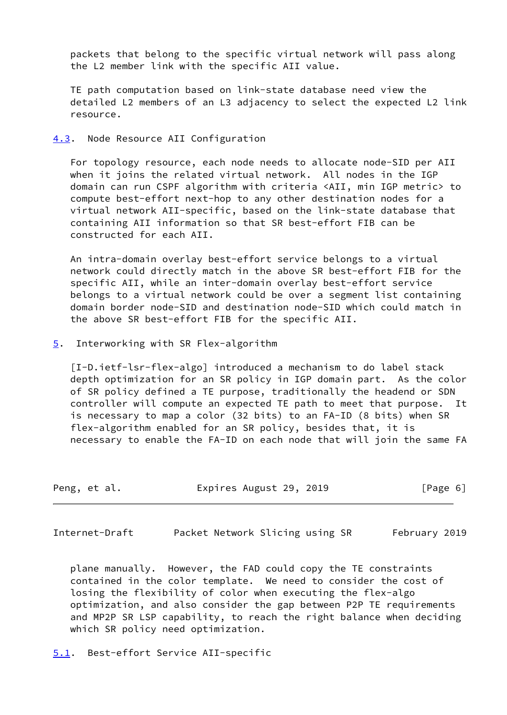packets that belong to the specific virtual network will pass along the L2 member link with the specific AII value.

 TE path computation based on link-state database need view the detailed L2 members of an L3 adjacency to select the expected L2 link resource.

<span id="page-6-0"></span>[4.3](#page-6-0). Node Resource AII Configuration

 For topology resource, each node needs to allocate node-SID per AII when it joins the related virtual network. All nodes in the IGP domain can run CSPF algorithm with criteria <AII, min IGP metric> to compute best-effort next-hop to any other destination nodes for a virtual network AII-specific, based on the link-state database that containing AII information so that SR best-effort FIB can be constructed for each AII.

 An intra-domain overlay best-effort service belongs to a virtual network could directly match in the above SR best-effort FIB for the specific AII, while an inter-domain overlay best-effort service belongs to a virtual network could be over a segment list containing domain border node-SID and destination node-SID which could match in the above SR best-effort FIB for the specific AII.

<span id="page-6-1"></span>[5](#page-6-1). Interworking with SR Flex-algorithm

 [I-D.ietf-lsr-flex-algo] introduced a mechanism to do label stack depth optimization for an SR policy in IGP domain part. As the color of SR policy defined a TE purpose, traditionally the headend or SDN controller will compute an expected TE path to meet that purpose. It is necessary to map a color (32 bits) to an FA-ID (8 bits) when SR flex-algorithm enabled for an SR policy, besides that, it is necessary to enable the FA-ID on each node that will join the same FA

| Peng, et al. | Expires August 29, 2019 | [Page 6] |
|--------------|-------------------------|----------|
|--------------|-------------------------|----------|

<span id="page-6-3"></span>Internet-Draft Packet Network Slicing using SR February 2019

 plane manually. However, the FAD could copy the TE constraints contained in the color template. We need to consider the cost of losing the flexibility of color when executing the flex-algo optimization, and also consider the gap between P2P TE requirements and MP2P SR LSP capability, to reach the right balance when deciding which SR policy need optimization.

<span id="page-6-2"></span>[5.1](#page-6-2). Best-effort Service AII-specific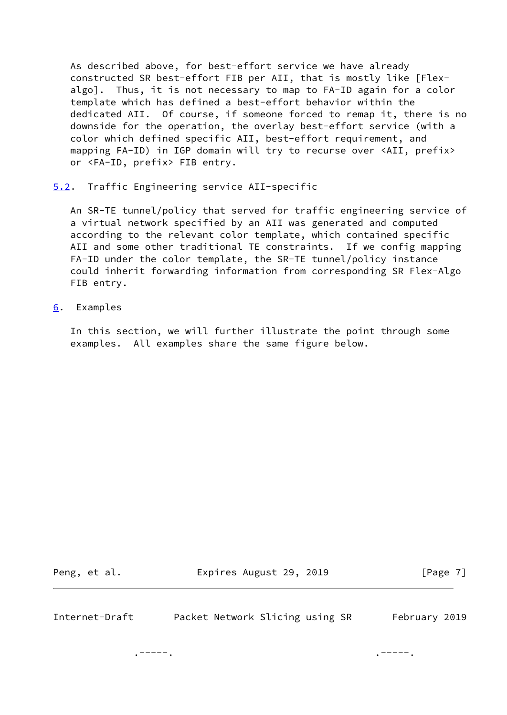As described above, for best-effort service we have already constructed SR best-effort FIB per AII, that is mostly like [Flex algo]. Thus, it is not necessary to map to FA-ID again for a color template which has defined a best-effort behavior within the dedicated AII. Of course, if someone forced to remap it, there is no downside for the operation, the overlay best-effort service (with a color which defined specific AII, best-effort requirement, and mapping FA-ID) in IGP domain will try to recurse over <AII, prefix> or <FA-ID, prefix> FIB entry.

<span id="page-7-0"></span>[5.2](#page-7-0). Traffic Engineering service AII-specific

 An SR-TE tunnel/policy that served for traffic engineering service of a virtual network specified by an AII was generated and computed according to the relevant color template, which contained specific AII and some other traditional TE constraints. If we config mapping FA-ID under the color template, the SR-TE tunnel/policy instance could inherit forwarding information from corresponding SR Flex-Algo FIB entry.

<span id="page-7-1"></span>[6](#page-7-1). Examples

 In this section, we will further illustrate the point through some examples. All examples share the same figure below.

Peng, et al. **Expires August 29, 2019** [Page 7]

<span id="page-7-2"></span>Internet-Draft Packet Network Slicing using SR February 2019

. The contract of the contract of the contract of the contract of the contract of the contract of the contract of the contract of the contract of the contract of the contract of the contract of the contract of the contrac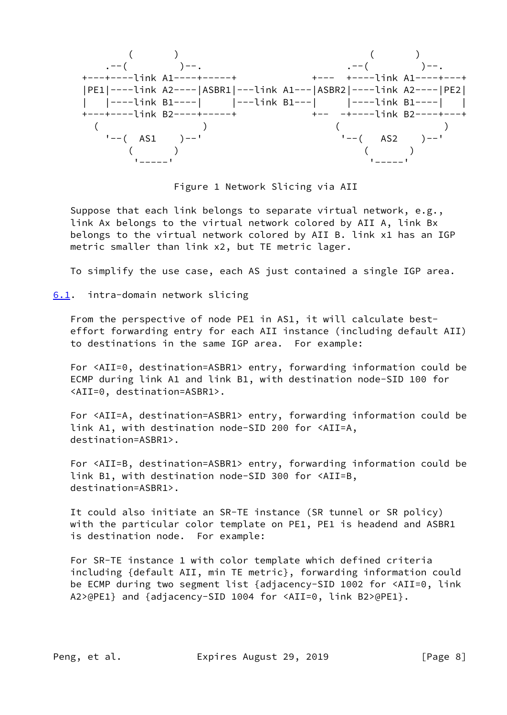$($  ) ( ) .--( )--. .--( )--. +---+----link A1----+-----+ +--- +----link A1----+---+ |PE1|----link A2----|ASBR1|---link A1---|ASBR2|----link A2----|PE2| | |----link B1----| |---link B1---| |----link B1----| | +---+----link B2----+-----+ +-- -+----link B2----+---+  $($  )  $($  $' -- (AS1) --'$   $' -- (AS2) --'$  $\left(\begin{array}{cc} 0 & 0 \end{array}\right)$ '-----' '-----'

Figure 1 Network Slicing via AII

 Suppose that each link belongs to separate virtual network, e.g., link Ax belongs to the virtual network colored by AII A, link Bx belongs to the virtual network colored by AII B. link x1 has an IGP metric smaller than link x2, but TE metric lager.

To simplify the use case, each AS just contained a single IGP area.

<span id="page-8-0"></span>[6.1](#page-8-0). intra-domain network slicing

 From the perspective of node PE1 in AS1, it will calculate best effort forwarding entry for each AII instance (including default AII) to destinations in the same IGP area. For example:

 For <AII=0, destination=ASBR1> entry, forwarding information could be ECMP during link A1 and link B1, with destination node-SID 100 for <AII=0, destination=ASBR1>.

 For <AII=A, destination=ASBR1> entry, forwarding information could be link A1, with destination node-SID 200 for <AII=A, destination=ASBR1>.

 For <AII=B, destination=ASBR1> entry, forwarding information could be link B1, with destination node-SID 300 for <AII=B, destination=ASBR1>.

 It could also initiate an SR-TE instance (SR tunnel or SR policy) with the particular color template on PE1, PE1 is headend and ASBR1 is destination node. For example:

 For SR-TE instance 1 with color template which defined criteria including {default AII, min TE metric}, forwarding information could be ECMP during two segment list {adjacency-SID 1002 for <AII=0, link A2>@PE1} and {adjacency-SID 1004 for <AII=0, link B2>@PE1}.

Peng, et al. Expires August 29, 2019 [Page 8]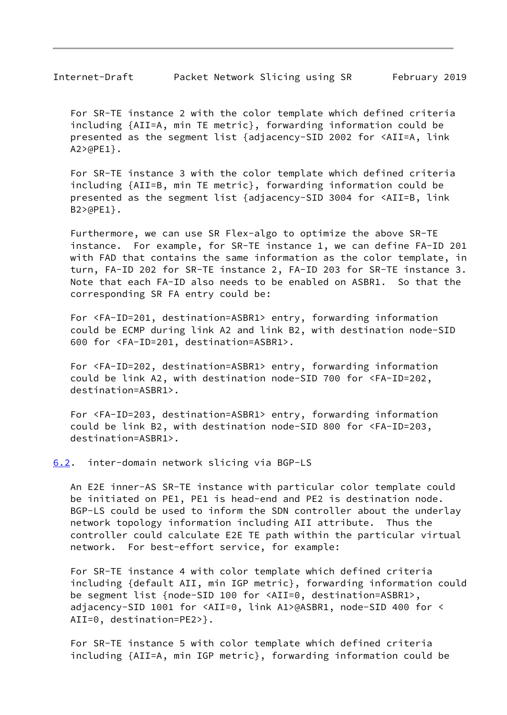<span id="page-9-1"></span> For SR-TE instance 2 with the color template which defined criteria including {AII=A, min TE metric}, forwarding information could be presented as the segment list {adjacency-SID 2002 for <AII=A, link A2>@PE1}.

 For SR-TE instance 3 with the color template which defined criteria including {AII=B, min TE metric}, forwarding information could be presented as the segment list {adjacency-SID 3004 for <AII=B, link B2>@PE1}.

 Furthermore, we can use SR Flex-algo to optimize the above SR-TE instance. For example, for SR-TE instance 1, we can define FA-ID 201 with FAD that contains the same information as the color template, in turn, FA-ID 202 for SR-TE instance 2, FA-ID 203 for SR-TE instance 3. Note that each FA-ID also needs to be enabled on ASBR1. So that the corresponding SR FA entry could be:

 For <FA-ID=201, destination=ASBR1> entry, forwarding information could be ECMP during link A2 and link B2, with destination node-SID 600 for <FA-ID=201, destination=ASBR1>.

 For <FA-ID=202, destination=ASBR1> entry, forwarding information could be link A2, with destination node-SID 700 for <FA-ID=202, destination=ASBR1>.

 For <FA-ID=203, destination=ASBR1> entry, forwarding information could be link B2, with destination node-SID 800 for <FA-ID=203, destination=ASBR1>.

<span id="page-9-0"></span>[6.2](#page-9-0). inter-domain network slicing via BGP-LS

 An E2E inner-AS SR-TE instance with particular color template could be initiated on PE1, PE1 is head-end and PE2 is destination node. BGP-LS could be used to inform the SDN controller about the underlay network topology information including AII attribute. Thus the controller could calculate E2E TE path within the particular virtual network. For best-effort service, for example:

 For SR-TE instance 4 with color template which defined criteria including {default AII, min IGP metric}, forwarding information could be segment list {node-SID 100 for <AII=0, destination=ASBR1>, adjacency-SID 1001 for <AII=0, link A1>@ASBR1, node-SID 400 for < AII=0, destination=PE2>}.

 For SR-TE instance 5 with color template which defined criteria including {AII=A, min IGP metric}, forwarding information could be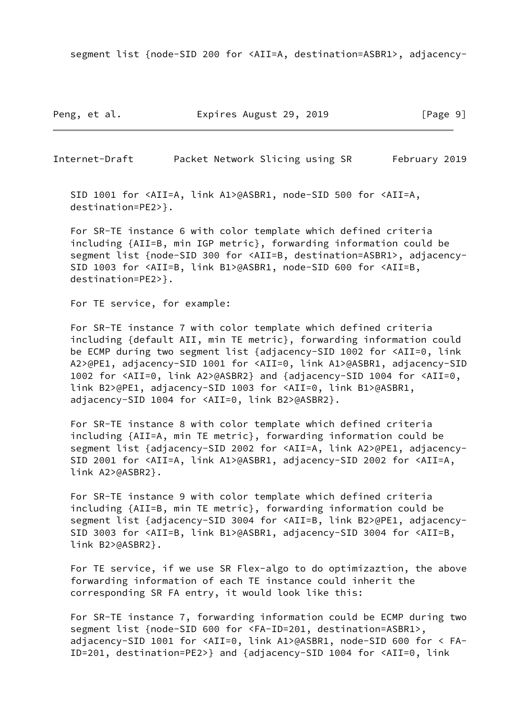segment list {node-SID 200 for <AII=A, destination=ASBR1>, adjacency-

Peng, et al. Expires August 29, 2019 [Page 9]

Internet-Draft Packet Network Slicing using SR February 2019

 SID 1001 for <AII=A, link A1>@ASBR1, node-SID 500 for <AII=A, destination=PE2>}.

 For SR-TE instance 6 with color template which defined criteria including {AII=B, min IGP metric}, forwarding information could be segment list {node-SID 300 for <AII=B, destination=ASBR1>, adjacency- SID 1003 for <AII=B, link B1>@ASBR1, node-SID 600 for <AII=B, destination=PE2>}.

For TE service, for example:

 For SR-TE instance 7 with color template which defined criteria including {default AII, min TE metric}, forwarding information could be ECMP during two segment list {adjacency-SID 1002 for <AII=0, link A2>@PE1, adjacency-SID 1001 for <AII=0, link A1>@ASBR1, adjacency-SID 1002 for <AII=0, link A2>@ASBR2} and {adjacency-SID 1004 for <AII=0, link B2>@PE1, adjacency-SID 1003 for <AII=0, link B1>@ASBR1, adjacency-SID 1004 for <AII=0, link B2>@ASBR2}.

 For SR-TE instance 8 with color template which defined criteria including {AII=A, min TE metric}, forwarding information could be segment list {adjacency-SID 2002 for <AII=A, link A2>@PE1, adjacency- SID 2001 for <AII=A, link A1>@ASBR1, adjacency-SID 2002 for <AII=A, link A2>@ASBR2}.

 For SR-TE instance 9 with color template which defined criteria including {AII=B, min TE metric}, forwarding information could be segment list {adjacency-SID 3004 for <AII=B, link B2>@PE1, adjacency- SID 3003 for <AII=B, link B1>@ASBR1, adjacency-SID 3004 for <AII=B, link B2>@ASBR2}.

 For TE service, if we use SR Flex-algo to do optimizaztion, the above forwarding information of each TE instance could inherit the corresponding SR FA entry, it would look like this:

 For SR-TE instance 7, forwarding information could be ECMP during two segment list {node-SID 600 for <FA-ID=201, destination=ASBR1>, adjacency-SID 1001 for <AII=0, link A1>@ASBR1, node-SID 600 for < FA- ID=201, destination=PE2>} and {adjacency-SID 1004 for <AII=0, link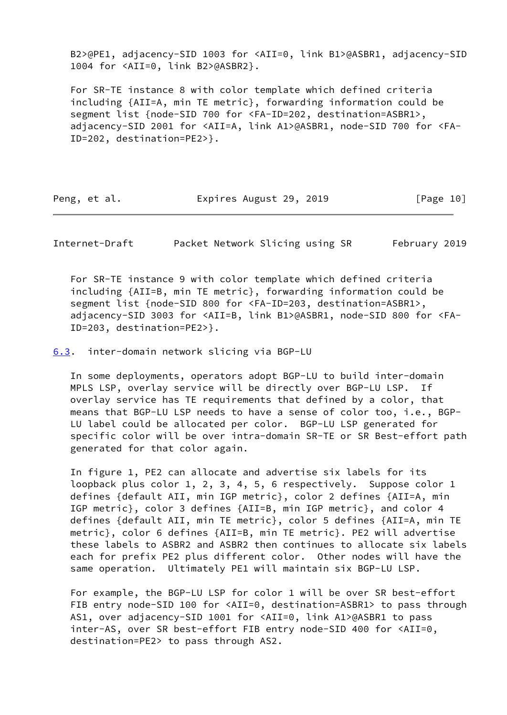B2>@PE1, adjacency-SID 1003 for <AII=0, link B1>@ASBR1, adjacency-SID 1004 for <AII=0, link B2>@ASBR2}.

 For SR-TE instance 8 with color template which defined criteria including {AII=A, min TE metric}, forwarding information could be segment list {node-SID 700 for <FA-ID=202, destination=ASBR1>, adjacency-SID 2001 for <AII=A, link A1>@ASBR1, node-SID 700 for <FA- ID=202, destination=PE2>}.

| Peng, et al. | Expires August 29, 2019 | [Page 10] |
|--------------|-------------------------|-----------|
|--------------|-------------------------|-----------|

<span id="page-11-1"></span>Internet-Draft Packet Network Slicing using SR February 2019

 For SR-TE instance 9 with color template which defined criteria including {AII=B, min TE metric}, forwarding information could be segment list {node-SID 800 for <FA-ID=203, destination=ASBR1>, adjacency-SID 3003 for <AII=B, link B1>@ASBR1, node-SID 800 for <FA- ID=203, destination=PE2>}.

<span id="page-11-0"></span>[6.3](#page-11-0). inter-domain network slicing via BGP-LU

 In some deployments, operators adopt BGP-LU to build inter-domain MPLS LSP, overlay service will be directly over BGP-LU LSP. If overlay service has TE requirements that defined by a color, that means that BGP-LU LSP needs to have a sense of color too, i.e., BGP- LU label could be allocated per color. BGP-LU LSP generated for specific color will be over intra-domain SR-TE or SR Best-effort path generated for that color again.

 In figure 1, PE2 can allocate and advertise six labels for its loopback plus color 1, 2, 3, 4, 5, 6 respectively. Suppose color 1 defines {default AII, min IGP metric}, color 2 defines {AII=A, min IGP metric}, color 3 defines {AII=B, min IGP metric}, and color 4 defines {default AII, min TE metric}, color 5 defines {AII=A, min TE metric}, color 6 defines {AII=B, min TE metric}. PE2 will advertise these labels to ASBR2 and ASBR2 then continues to allocate six labels each for prefix PE2 plus different color. Other nodes will have the same operation. Ultimately PE1 will maintain six BGP-LU LSP.

 For example, the BGP-LU LSP for color 1 will be over SR best-effort FIB entry node-SID 100 for <AII=0, destination=ASBR1> to pass through AS1, over adjacency-SID 1001 for <AII=0, link A1>@ASBR1 to pass inter-AS, over SR best-effort FIB entry node-SID 400 for <AII=0, destination=PE2> to pass through AS2.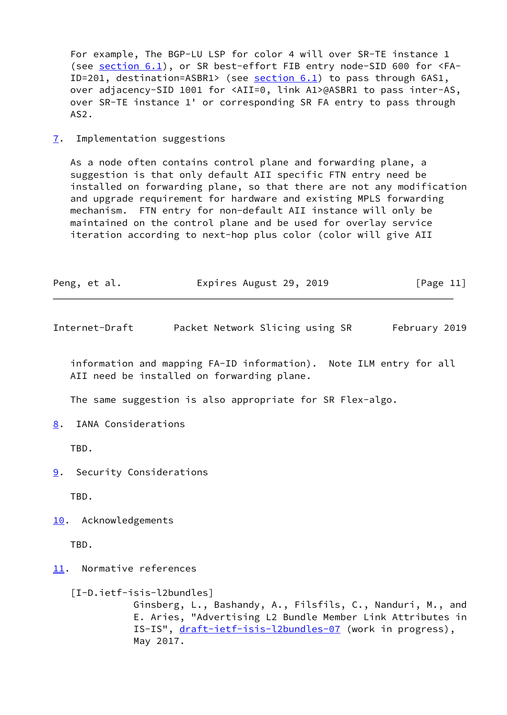For example, The BGP-LU LSP for color 4 will over SR-TE instance 1 (see [section 6.1](#page-8-0)), or SR best-effort FIB entry node-SID 600 for <FA- ID=201, destination=ASBR1> (see [section 6.1](#page-8-0)) to pass through 6AS1, over adjacency-SID 1001 for <AII=0, link A1>@ASBR1 to pass inter-AS, over SR-TE instance 1' or corresponding SR FA entry to pass through AS2.

<span id="page-12-0"></span>[7](#page-12-0). Implementation suggestions

 As a node often contains control plane and forwarding plane, a suggestion is that only default AII specific FTN entry need be installed on forwarding plane, so that there are not any modification and upgrade requirement for hardware and existing MPLS forwarding mechanism. FTN entry for non-default AII instance will only be maintained on the control plane and be used for overlay service iteration according to next-hop plus color (color will give AII

| Peng, et al. | Expires August 29, 2019 | [Page 11] |
|--------------|-------------------------|-----------|
|--------------|-------------------------|-----------|

<span id="page-12-2"></span>Internet-Draft Packet Network Slicing using SR February 2019

 information and mapping FA-ID information). Note ILM entry for all AII need be installed on forwarding plane.

The same suggestion is also appropriate for SR Flex-algo.

<span id="page-12-1"></span>[8](#page-12-1). IANA Considerations

TBD.

<span id="page-12-3"></span>[9](#page-12-3). Security Considerations

TBD.

<span id="page-12-4"></span>[10.](#page-12-4) Acknowledgements

TBD.

<span id="page-12-5"></span>[11.](#page-12-5) Normative references

 [I-D.ietf-isis-l2bundles] Ginsberg, L., Bashandy, A., Filsfils, C., Nanduri, M., and E. Aries, "Advertising L2 Bundle Member Link Attributes in IS-IS", [draft-ietf-isis-l2bundles-07](https://datatracker.ietf.org/doc/pdf/draft-ietf-isis-l2bundles-07) (work in progress), May 2017.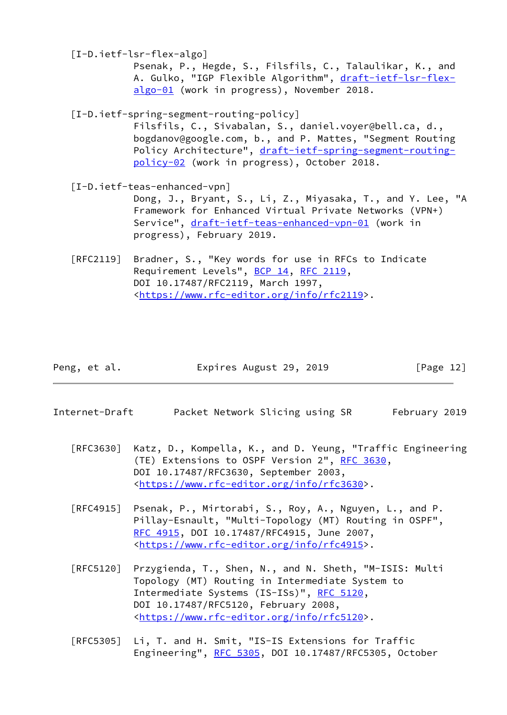[I-D.ietf-lsr-flex-algo]

 Psenak, P., Hegde, S., Filsfils, C., Talaulikar, K., and A. Gulko, "IGP Flexible Algorithm", [draft-ietf-lsr-flex](https://datatracker.ietf.org/doc/pdf/draft-ietf-lsr-flex-algo-01) [algo-01](https://datatracker.ietf.org/doc/pdf/draft-ietf-lsr-flex-algo-01) (work in progress), November 2018.

<span id="page-13-2"></span>[I-D.ietf-spring-segment-routing-policy]

 Filsfils, C., Sivabalan, S., daniel.voyer@bell.ca, d., bogdanov@google.com, b., and P. Mattes, "Segment Routing Policy Architecture", [draft-ietf-spring-segment-routing](https://datatracker.ietf.org/doc/pdf/draft-ietf-spring-segment-routing-policy-02) [policy-02](https://datatracker.ietf.org/doc/pdf/draft-ietf-spring-segment-routing-policy-02) (work in progress), October 2018.

<span id="page-13-1"></span>[I-D.ietf-teas-enhanced-vpn]

 Dong, J., Bryant, S., Li, Z., Miyasaka, T., and Y. Lee, "A Framework for Enhanced Virtual Private Networks (VPN+) Service", [draft-ietf-teas-enhanced-vpn-01](https://datatracker.ietf.org/doc/pdf/draft-ietf-teas-enhanced-vpn-01) (work in progress), February 2019.

 [RFC2119] Bradner, S., "Key words for use in RFCs to Indicate Requirement Levels", [BCP 14](https://datatracker.ietf.org/doc/pdf/bcp14), [RFC 2119](https://datatracker.ietf.org/doc/pdf/rfc2119), DOI 10.17487/RFC2119, March 1997, <[https://www.rfc-editor.org/info/rfc2119>](https://www.rfc-editor.org/info/rfc2119).

| Peng, et al. | Expires August 29, 2019 | [Page 12] |
|--------------|-------------------------|-----------|
|--------------|-------------------------|-----------|

- <span id="page-13-0"></span>Internet-Draft Packet Network Slicing using SR February 2019
	- [RFC3630] Katz, D., Kompella, K., and D. Yeung, "Traffic Engineering (TE) Extensions to OSPF Version 2", [RFC 3630,](https://datatracker.ietf.org/doc/pdf/rfc3630) DOI 10.17487/RFC3630, September 2003, <[https://www.rfc-editor.org/info/rfc3630>](https://www.rfc-editor.org/info/rfc3630).
	- [RFC4915] Psenak, P., Mirtorabi, S., Roy, A., Nguyen, L., and P. Pillay-Esnault, "Multi-Topology (MT) Routing in OSPF", [RFC 4915,](https://datatracker.ietf.org/doc/pdf/rfc4915) DOI 10.17487/RFC4915, June 2007, <[https://www.rfc-editor.org/info/rfc4915>](https://www.rfc-editor.org/info/rfc4915).
	- [RFC5120] Przygienda, T., Shen, N., and N. Sheth, "M-ISIS: Multi Topology (MT) Routing in Intermediate System to Intermediate Systems (IS-ISs)", [RFC 5120,](https://datatracker.ietf.org/doc/pdf/rfc5120) DOI 10.17487/RFC5120, February 2008, <[https://www.rfc-editor.org/info/rfc5120>](https://www.rfc-editor.org/info/rfc5120).
	- [RFC5305] Li, T. and H. Smit, "IS-IS Extensions for Traffic Engineering", [RFC 5305](https://datatracker.ietf.org/doc/pdf/rfc5305), DOI 10.17487/RFC5305, October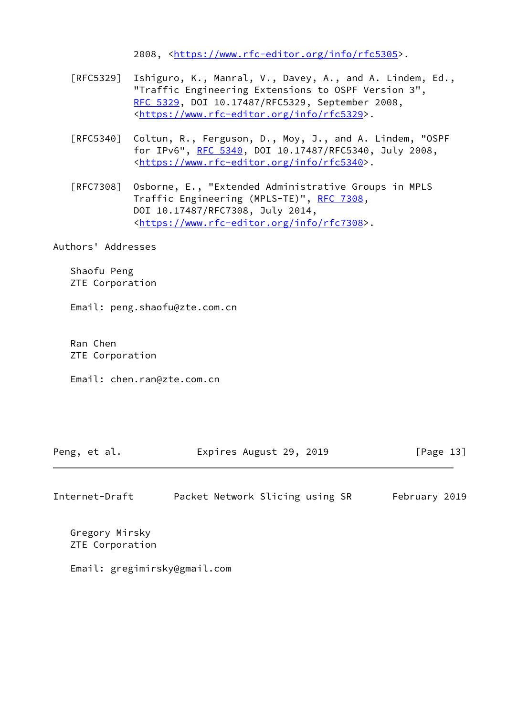2008, [<https://www.rfc-editor.org/info/rfc5305](https://www.rfc-editor.org/info/rfc5305)>.

- [RFC5329] Ishiguro, K., Manral, V., Davey, A., and A. Lindem, Ed., "Traffic Engineering Extensions to OSPF Version 3", [RFC 5329,](https://datatracker.ietf.org/doc/pdf/rfc5329) DOI 10.17487/RFC5329, September 2008, <[https://www.rfc-editor.org/info/rfc5329>](https://www.rfc-editor.org/info/rfc5329).
- [RFC5340] Coltun, R., Ferguson, D., Moy, J., and A. Lindem, "OSPF for IPv6", [RFC 5340](https://datatracker.ietf.org/doc/pdf/rfc5340), DOI 10.17487/RFC5340, July 2008, <[https://www.rfc-editor.org/info/rfc5340>](https://www.rfc-editor.org/info/rfc5340).
- [RFC7308] Osborne, E., "Extended Administrative Groups in MPLS Traffic Engineering (MPLS-TE)", [RFC 7308,](https://datatracker.ietf.org/doc/pdf/rfc7308) DOI 10.17487/RFC7308, July 2014, <[https://www.rfc-editor.org/info/rfc7308>](https://www.rfc-editor.org/info/rfc7308).

Authors' Addresses

 Shaofu Peng ZTE Corporation

Email: peng.shaofu@zte.com.cn

 Ran Chen ZTE Corporation

Email: chen.ran@zte.com.cn

| Expires August 29, 2019<br>Peng, et al. | [Page 13] |
|-----------------------------------------|-----------|
|-----------------------------------------|-----------|

| Internet-Draft |  | Packet Network Slicing using SR | February 2019 |
|----------------|--|---------------------------------|---------------|
|----------------|--|---------------------------------|---------------|

 Gregory Mirsky ZTE Corporation

Email: gregimirsky@gmail.com